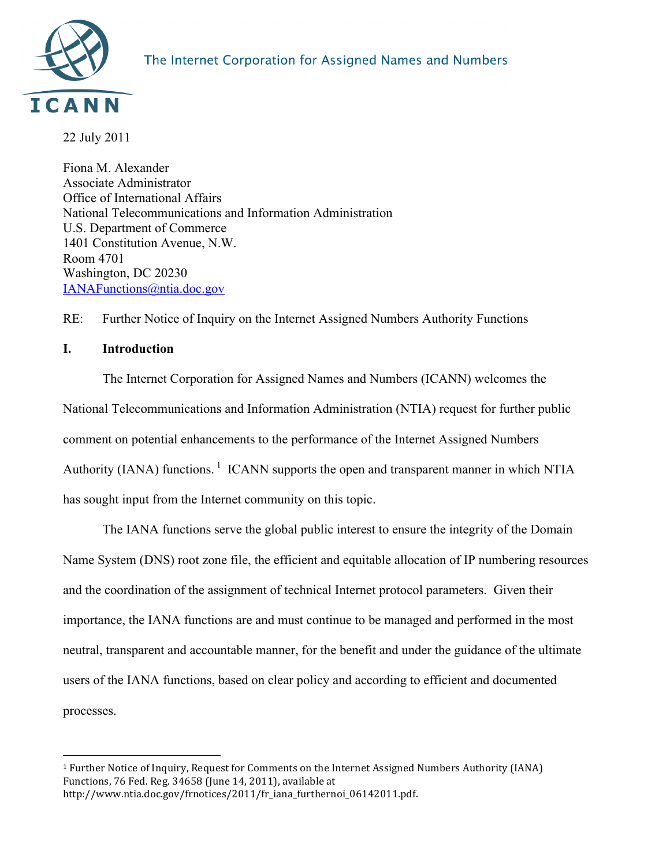

22 July 2011

Fiona M. Alexander Associate Administrator Office of International Affairs National Telecommunications and Information Administration U.S. Department of Commerce 1401 Constitution Avenue, N.W. Room 4701 Washington, DC 20230 IANAFunctions@ntia.doc.gov

RE: Further Notice of Inquiry on the Internet Assigned Numbers Authority Functions

# **I. Introduction**

The Internet Corporation for Assigned Names and Numbers (ICANN) welcomes the National Telecommunications and Information Administration (NTIA) request for further public comment on potential enhancements to the performance of the Internet Assigned Numbers Authority (IANA) functions.<sup>1</sup> ICANN supports the open and transparent manner in which NTIA has sought input from the Internet community on this topic.

The IANA functions serve the global public interest to ensure the integrity of the Domain Name System (DNS) root zone file, the efficient and equitable allocation of IP numbering resources and the coordination of the assignment of technical Internet protocol parameters. Given their importance, the IANA functions are and must continue to be managed and performed in the most neutral, transparent and accountable manner, for the benefit and under the guidance of the ultimate users of the IANA functions, based on clear policy and according to efficient and documented processes.

 $\overline{a}$ <sup>1</sup> Further Notice of Inquiry, Request for Comments on the Internet Assigned Numbers Authority (IANA) Functions, 76 Fed. Reg. 34658 (June 14, 2011), available at http://www.ntia.doc.gov/frnotices/2011/fr\_iana\_furthernoi\_06142011.pdf.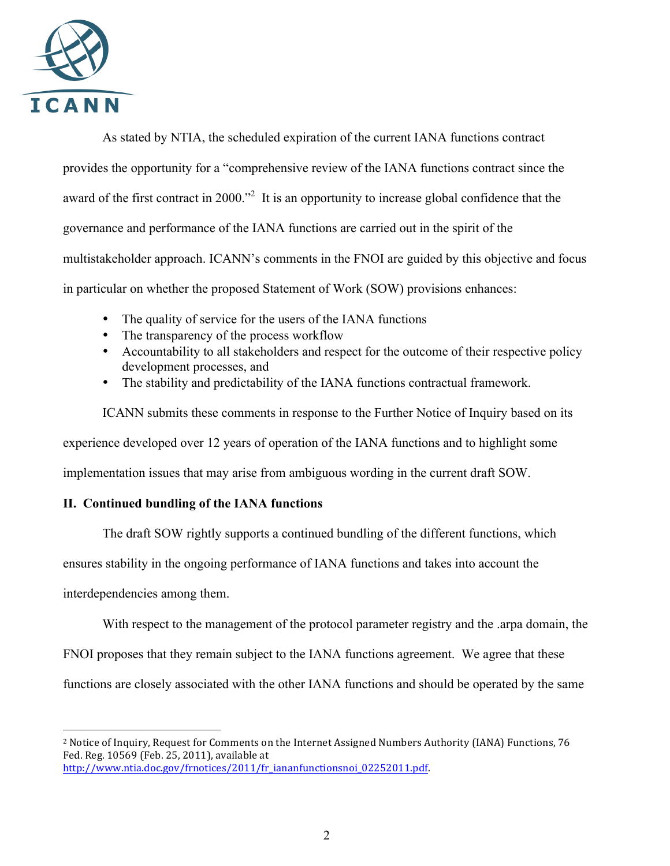

 $\overline{a}$ 

As stated by NTIA, the scheduled expiration of the current IANA functions contract provides the opportunity for a "comprehensive review of the IANA functions contract since the award of the first contract in 2000."<sup>2</sup> It is an opportunity to increase global confidence that the governance and performance of the IANA functions are carried out in the spirit of the multistakeholder approach. ICANN's comments in the FNOI are guided by this objective and focus in particular on whether the proposed Statement of Work (SOW) provisions enhances:

- The quality of service for the users of the IANA functions
- The transparency of the process workflow
- Accountability to all stakeholders and respect for the outcome of their respective policy development processes, and
- The stability and predictability of the IANA functions contractual framework.

ICANN submits these comments in response to the Further Notice of Inquiry based on its experience developed over 12 years of operation of the IANA functions and to highlight some implementation issues that may arise from ambiguous wording in the current draft SOW.

## **II. Continued bundling of the IANA functions**

The draft SOW rightly supports a continued bundling of the different functions, which ensures stability in the ongoing performance of IANA functions and takes into account the interdependencies among them.

With respect to the management of the protocol parameter registry and the .arpa domain, the

FNOI proposes that they remain subject to the IANA functions agreement. We agree that these

functions are closely associated with the other IANA functions and should be operated by the same

<sup>&</sup>lt;sup>2</sup> Notice of Inquiry, Request for Comments on the Internet Assigned Numbers Authority (IANA) Functions, 76 Fed. Reg. 10569 (Feb. 25, 2011), available at http://www.ntia.doc.gov/frnotices/2011/fr\_iananfunctionsnoi\_02252011.pdf.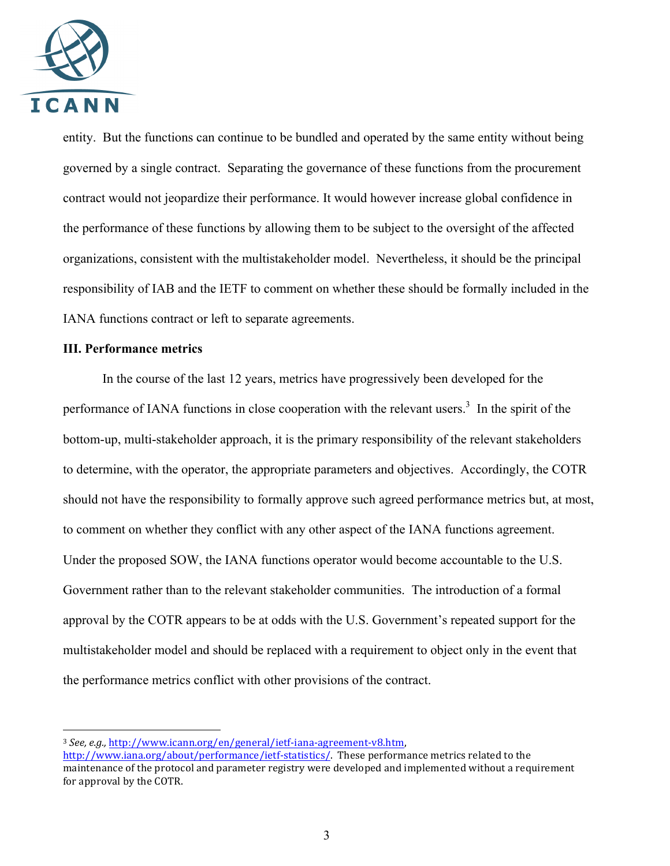

entity. But the functions can continue to be bundled and operated by the same entity without being governed by a single contract. Separating the governance of these functions from the procurement contract would not jeopardize their performance. It would however increase global confidence in the performance of these functions by allowing them to be subject to the oversight of the affected organizations, consistent with the multistakeholder model. Nevertheless, it should be the principal responsibility of IAB and the IETF to comment on whether these should be formally included in the IANA functions contract or left to separate agreements.

## **III. Performance metrics**

 $\overline{a}$ 

In the course of the last 12 years, metrics have progressively been developed for the performance of IANA functions in close cooperation with the relevant users.<sup>3</sup> In the spirit of the bottom-up, multi-stakeholder approach, it is the primary responsibility of the relevant stakeholders to determine, with the operator, the appropriate parameters and objectives. Accordingly, the COTR should not have the responsibility to formally approve such agreed performance metrics but, at most, to comment on whether they conflict with any other aspect of the IANA functions agreement. Under the proposed SOW, the IANA functions operator would become accountable to the U.S. Government rather than to the relevant stakeholder communities. The introduction of a formal approval by the COTR appears to be at odds with the U.S. Government's repeated support for the multistakeholder model and should be replaced with a requirement to object only in the event that the performance metrics conflict with other provisions of the contract.

<sup>&</sup>lt;sup>3</sup> *See, e.g., http://www.icann.org/en/general/ietf-iana-agreement-y8.htm.* 

http://www.iana.org/about/performance/ietf-statistics/. These performance metrics related to the maintenance of the protocol and parameter registry were developed and implemented without a requirement for approval by the COTR.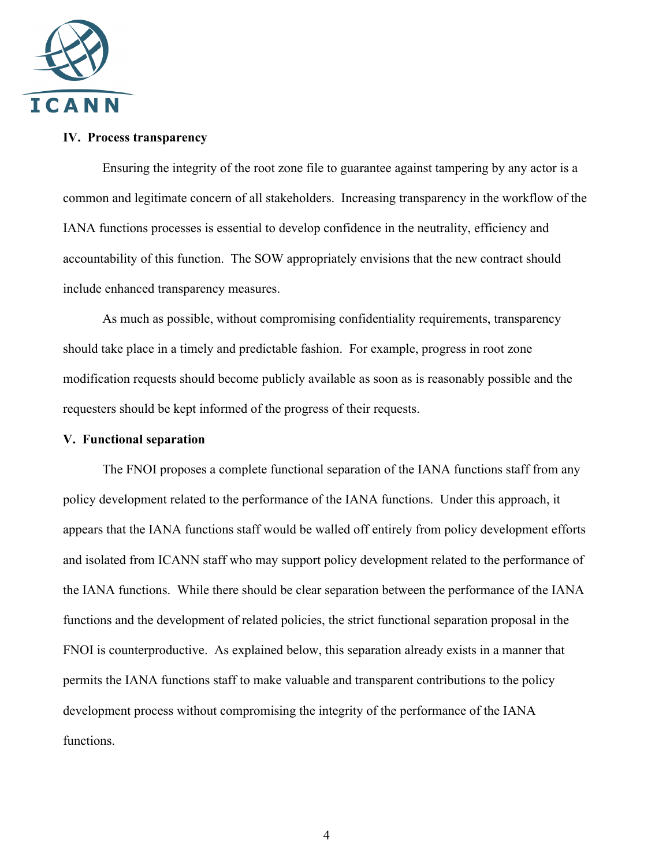

## **IV. Process transparency**

Ensuring the integrity of the root zone file to guarantee against tampering by any actor is a common and legitimate concern of all stakeholders. Increasing transparency in the workflow of the IANA functions processes is essential to develop confidence in the neutrality, efficiency and accountability of this function. The SOW appropriately envisions that the new contract should include enhanced transparency measures.

As much as possible, without compromising confidentiality requirements, transparency should take place in a timely and predictable fashion. For example, progress in root zone modification requests should become publicly available as soon as is reasonably possible and the requesters should be kept informed of the progress of their requests.

#### **V. Functional separation**

The FNOI proposes a complete functional separation of the IANA functions staff from any policy development related to the performance of the IANA functions. Under this approach, it appears that the IANA functions staff would be walled off entirely from policy development efforts and isolated from ICANN staff who may support policy development related to the performance of the IANA functions. While there should be clear separation between the performance of the IANA functions and the development of related policies, the strict functional separation proposal in the FNOI is counterproductive. As explained below, this separation already exists in a manner that permits the IANA functions staff to make valuable and transparent contributions to the policy development process without compromising the integrity of the performance of the IANA functions.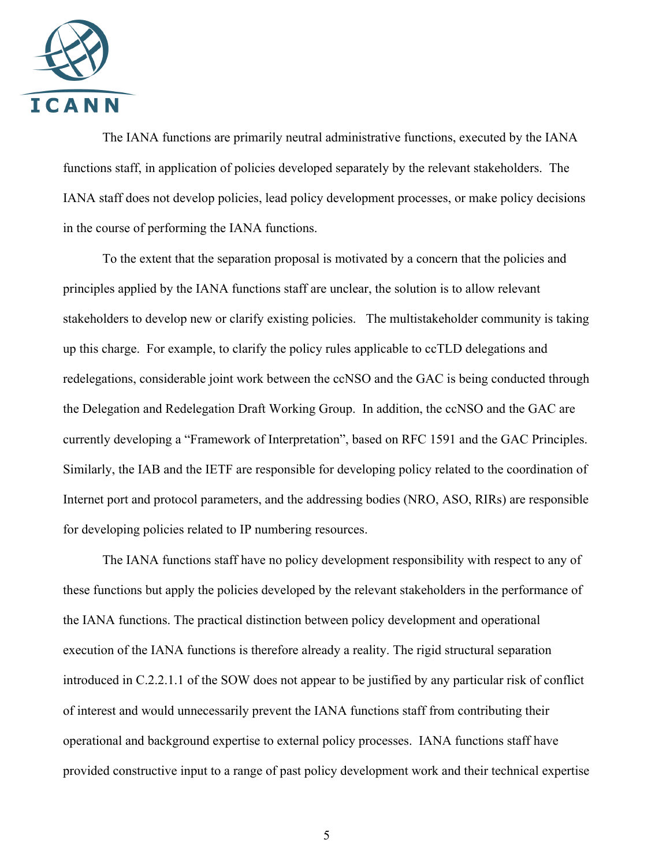

The IANA functions are primarily neutral administrative functions, executed by the IANA functions staff, in application of policies developed separately by the relevant stakeholders. The IANA staff does not develop policies, lead policy development processes, or make policy decisions in the course of performing the IANA functions.

To the extent that the separation proposal is motivated by a concern that the policies and principles applied by the IANA functions staff are unclear, the solution is to allow relevant stakeholders to develop new or clarify existing policies. The multistakeholder community is taking up this charge. For example, to clarify the policy rules applicable to ccTLD delegations and redelegations, considerable joint work between the ccNSO and the GAC is being conducted through the Delegation and Redelegation Draft Working Group. In addition, the ccNSO and the GAC are currently developing a "Framework of Interpretation", based on RFC 1591 and the GAC Principles. Similarly, the IAB and the IETF are responsible for developing policy related to the coordination of Internet port and protocol parameters, and the addressing bodies (NRO, ASO, RIRs) are responsible for developing policies related to IP numbering resources.

The IANA functions staff have no policy development responsibility with respect to any of these functions but apply the policies developed by the relevant stakeholders in the performance of the IANA functions. The practical distinction between policy development and operational execution of the IANA functions is therefore already a reality. The rigid structural separation introduced in C.2.2.1.1 of the SOW does not appear to be justified by any particular risk of conflict of interest and would unnecessarily prevent the IANA functions staff from contributing their operational and background expertise to external policy processes. IANA functions staff have provided constructive input to a range of past policy development work and their technical expertise

5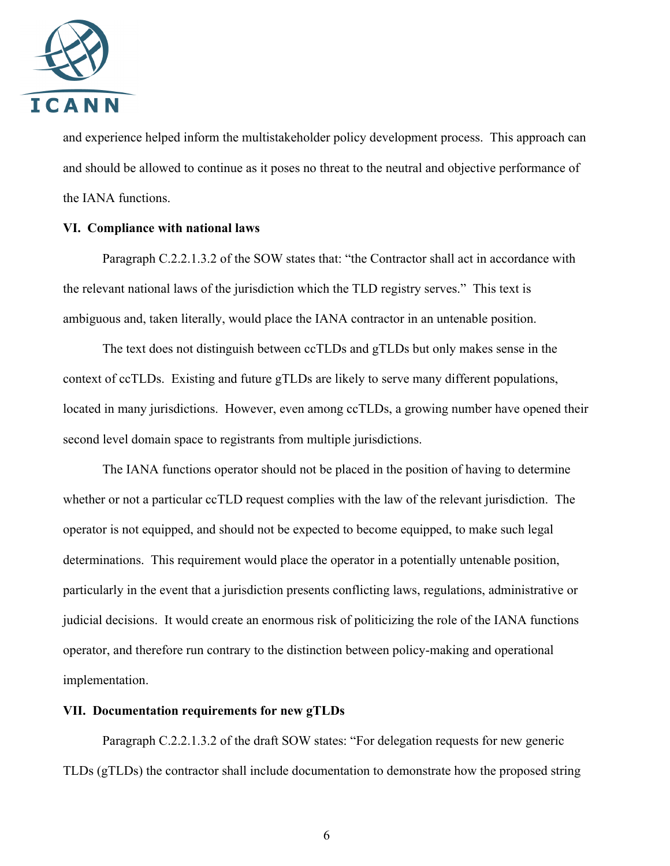

and experience helped inform the multistakeholder policy development process. This approach can and should be allowed to continue as it poses no threat to the neutral and objective performance of the IANA functions.

## **VI. Compliance with national laws**

Paragraph C.2.2.1.3.2 of the SOW states that: "the Contractor shall act in accordance with the relevant national laws of the jurisdiction which the TLD registry serves." This text is ambiguous and, taken literally, would place the IANA contractor in an untenable position.

The text does not distinguish between ccTLDs and gTLDs but only makes sense in the context of ccTLDs. Existing and future gTLDs are likely to serve many different populations, located in many jurisdictions. However, even among ccTLDs, a growing number have opened their second level domain space to registrants from multiple jurisdictions.

The IANA functions operator should not be placed in the position of having to determine whether or not a particular ccTLD request complies with the law of the relevant jurisdiction. The operator is not equipped, and should not be expected to become equipped, to make such legal determinations. This requirement would place the operator in a potentially untenable position, particularly in the event that a jurisdiction presents conflicting laws, regulations, administrative or judicial decisions. It would create an enormous risk of politicizing the role of the IANA functions operator, and therefore run contrary to the distinction between policy-making and operational implementation.

#### **VII. Documentation requirements for new gTLDs**

Paragraph C.2.2.1.3.2 of the draft SOW states: "For delegation requests for new generic TLDs (gTLDs) the contractor shall include documentation to demonstrate how the proposed string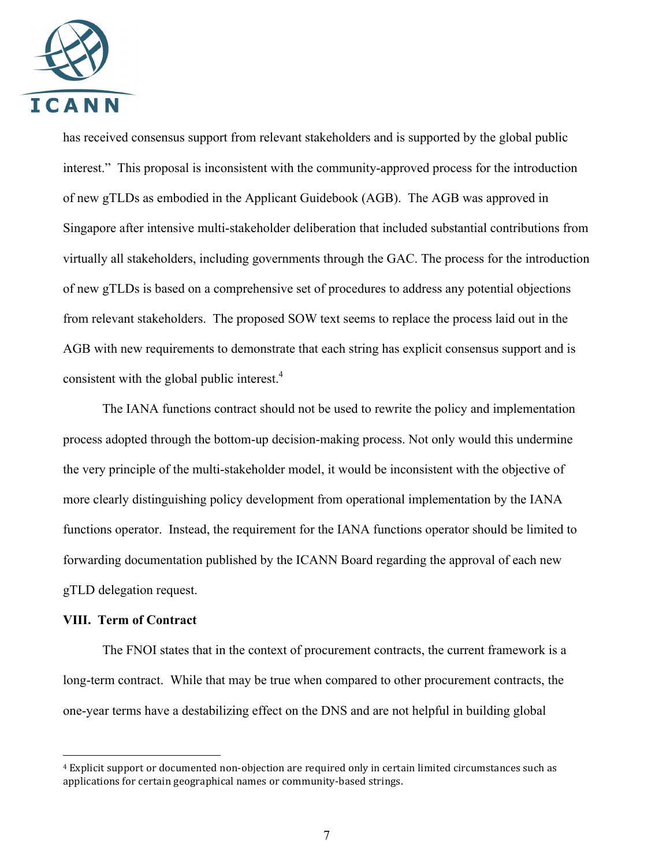

has received consensus support from relevant stakeholders and is supported by the global public interest." This proposal is inconsistent with the community-approved process for the introduction of new gTLDs as embodied in the Applicant Guidebook (AGB). The AGB was approved in Singapore after intensive multi-stakeholder deliberation that included substantial contributions from virtually all stakeholders, including governments through the GAC. The process for the introduction of new gTLDs is based on a comprehensive set of procedures to address any potential objections from relevant stakeholders. The proposed SOW text seems to replace the process laid out in the AGB with new requirements to demonstrate that each string has explicit consensus support and is consistent with the global public interest. $4$ 

The IANA functions contract should not be used to rewrite the policy and implementation process adopted through the bottom-up decision-making process. Not only would this undermine the very principle of the multi-stakeholder model, it would be inconsistent with the objective of more clearly distinguishing policy development from operational implementation by the IANA functions operator. Instead, the requirement for the IANA functions operator should be limited to forwarding documentation published by the ICANN Board regarding the approval of each new gTLD delegation request.

## **VIII. Term of Contract**

 $\overline{a}$ 

The FNOI states that in the context of procurement contracts, the current framework is a long-term contract. While that may be true when compared to other procurement contracts, the one-year terms have a destabilizing effect on the DNS and are not helpful in building global

<sup>&</sup>lt;sup>4</sup> Explicit support or documented non-objection are required only in certain limited circumstances such as applications for certain geographical names or community-based strings.